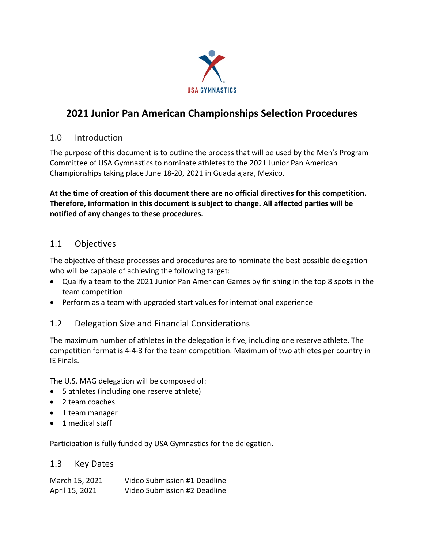

# **2021 Junior Pan American Championships Selection Procedures**

### 1.0 Introduction

The purpose of this document is to outline the process that will be used by the Men's Program Committee of USA Gymnastics to nominate athletes to the 2021 Junior Pan American Championships taking place June 18-20, 2021 in Guadalajara, Mexico.

**At the time of creation of this document there are no official directives for this competition. Therefore, information in this document is subject to change. All affected parties will be notified of any changes to these procedures.**

### 1.1 Objectives

The objective of these processes and procedures are to nominate the best possible delegation who will be capable of achieving the following target:

- Qualify a team to the 2021 Junior Pan American Games by finishing in the top 8 spots in the team competition
- Perform as a team with upgraded start values for international experience

## 1.2 Delegation Size and Financial Considerations

The maximum number of athletes in the delegation is five, including one reserve athlete. The competition format is 4-4-3 for the team competition. Maximum of two athletes per country in IE Finals.

The U.S. MAG delegation will be composed of:

- 5 athletes (including one reserve athlete)
- 2 team coaches
- 1 team manager
- 1 medical staff

Participation is fully funded by USA Gymnastics for the delegation.

#### 1.3 Key Dates

| March 15, 2021 | Video Submission #1 Deadline |
|----------------|------------------------------|
| April 15, 2021 | Video Submission #2 Deadline |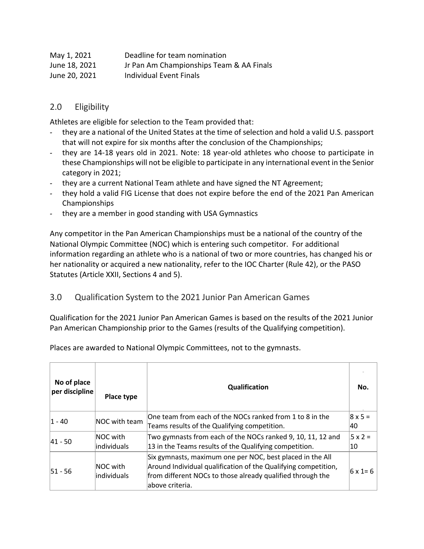| May 1, 2021   | Deadline for team nomination             |
|---------------|------------------------------------------|
| June 18, 2021 | Jr Pan Am Championships Team & AA Finals |
| June 20, 2021 | Individual Event Finals                  |

#### 2.0 Eligibility

Athletes are eligible for selection to the Team provided that:

- they are a national of the United States at the time of selection and hold a valid U.S. passport that will not expire for six months after the conclusion of the Championships;
- they are 14-18 years old in 2021. Note: 18 year-old athletes who choose to participate in these Championships will not be eligible to participate in any international event in the Senior category in 2021;
- they are a current National Team athlete and have signed the NT Agreement;
- they hold a valid FIG License that does not expire before the end of the 2021 Pan American Championships
- they are a member in good standing with USA Gymnastics

Any competitor in the Pan American Championships must be a national of the country of the National Olympic Committee (NOC) which is entering such competitor. For additional information regarding an athlete who is a national of two or more countries, has changed his or her nationality or acquired a new nationality, refer to the IOC Charter (Rule 42), or the PASO Statutes (Article XXII, Sections 4 and 5).

#### 3.0 Qualification System to the 2021 Junior Pan American Games

Qualification for the 2021 Junior Pan American Games is based on the results of the 2021 Junior Pan American Championship prior to the Games (results of the Qualifying competition).

Places are awarded to National Olympic Committees, not to the gymnasts.

| No of place<br>per discipline | Place type               | Qualification                                                                                                                                                                                                | No.                  |
|-------------------------------|--------------------------|--------------------------------------------------------------------------------------------------------------------------------------------------------------------------------------------------------------|----------------------|
| $ 1 - 40 $                    | NOC with team            | One team from each of the NOCs ranked from 1 to 8 in the<br>Teams results of the Qualifying competition.                                                                                                     | $8 \times 5 =$<br>40 |
| $ 41 - 50 $                   | NOC with<br>individuals  | Two gymnasts from each of the NOCs ranked 9, 10, 11, 12 and<br>13 in the Teams results of the Qualifying competition.                                                                                        | $5 \times 2 =$<br>10 |
| $51 - 56$                     | NOC with<br>lindividuals | Six gymnasts, maximum one per NOC, best placed in the All<br>Around Individual qualification of the Qualifying competition,<br>from different NOCs to those already qualified through the<br>above criteria. | $6 \times 1 = 6$     |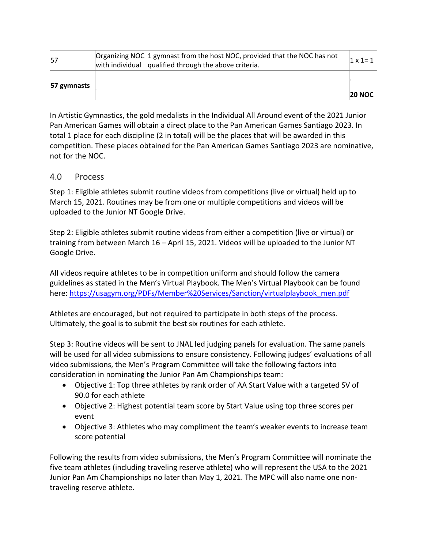| 57          | Organizing NOC 1 gymnast from the host NOC, provided that the NOC has not<br>with individual $\alpha$ qualified through the above criteria. | $\vert 1 \times 1 = 1 \vert$ |
|-------------|---------------------------------------------------------------------------------------------------------------------------------------------|------------------------------|
| 57 gymnasts |                                                                                                                                             | <b>20 NOC</b>                |

In Artistic Gymnastics, the gold medalists in the Individual All Around event of the 2021 Junior Pan American Games will obtain a direct place to the Pan American Games Santiago 2023. In total 1 place for each discipline (2 in total) will be the places that will be awarded in this competition. These places obtained for the Pan American Games Santiago 2023 are nominative, not for the NOC.

#### 4.0 Process

Step 1: Eligible athletes submit routine videos from competitions (live or virtual) held up to March 15, 2021. Routines may be from one or multiple competitions and videos will be uploaded to the Junior NT Google Drive.

Step 2: Eligible athletes submit routine videos from either a competition (live or virtual) or training from between March 16 – April 15, 2021. Videos will be uploaded to the Junior NT Google Drive.

All videos require athletes to be in competition uniform and should follow the camera guidelines as stated in the Men's Virtual Playbook. The Men's Virtual Playbook can be found here: https://usagym.org/PDFs/Member%20Services/Sanction/virtualplaybook\_men.pdf

Athletes are encouraged, but not required to participate in both steps of the process. Ultimately, the goal is to submit the best six routines for each athlete.

Step 3: Routine videos will be sent to JNAL led judging panels for evaluation. The same panels will be used for all video submissions to ensure consistency. Following judges' evaluations of all video submissions, the Men's Program Committee will take the following factors into consideration in nominating the Junior Pan Am Championships team:

- Objective 1: Top three athletes by rank order of AA Start Value with a targeted SV of 90.0 for each athlete
- Objective 2: Highest potential team score by Start Value using top three scores per event
- Objective 3: Athletes who may compliment the team's weaker events to increase team score potential

Following the results from video submissions, the Men's Program Committee will nominate the five team athletes (including traveling reserve athlete) who will represent the USA to the 2021 Junior Pan Am Championships no later than May 1, 2021. The MPC will also name one nontraveling reserve athlete.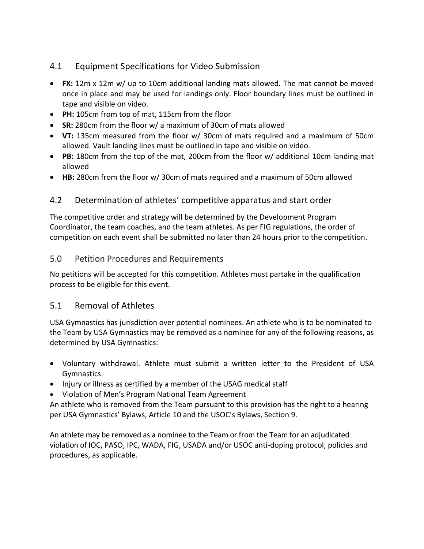## 4.1 Equipment Specifications for Video Submission

- **FX:** 12m x 12m w/ up to 10cm additional landing mats allowed. The mat cannot be moved once in place and may be used for landings only. Floor boundary lines must be outlined in tape and visible on video.
- **PH:** 105cm from top of mat, 115cm from the floor
- **SR:** 280cm from the floor w/ a maximum of 30cm of mats allowed
- **VT:** 135cm measured from the floor w/ 30cm of mats required and a maximum of 50cm allowed. Vault landing lines must be outlined in tape and visible on video.
- **PB:** 180cm from the top of the mat, 200cm from the floor w/ additional 10cm landing mat allowed
- **HB:** 280cm from the floor w/ 30cm of mats required and a maximum of 50cm allowed

## 4.2 Determination of athletes' competitive apparatus and start order

The competitive order and strategy will be determined by the Development Program Coordinator, the team coaches, and the team athletes. As per FIG regulations, the order of competition on each event shall be submitted no later than 24 hours prior to the competition.

#### 5.0 Petition Procedures and Requirements

No petitions will be accepted for this competition. Athletes must partake in the qualification process to be eligible for this event.

#### 5.1 Removal of Athletes

USA Gymnastics has jurisdiction over potential nominees. An athlete who is to be nominated to the Team by USA Gymnastics may be removed as a nominee for any of the following reasons, as determined by USA Gymnastics:

- Voluntary withdrawal. Athlete must submit a written letter to the President of USA Gymnastics.
- Injury or illness as certified by a member of the USAG medical staff
- Violation of Men's Program National Team Agreement

An athlete who is removed from the Team pursuant to this provision has the right to a hearing per USA Gymnastics' Bylaws, Article 10 and the USOC's Bylaws, Section 9.

An athlete may be removed as a nominee to the Team or from the Team for an adjudicated violation of IOC, PASO, IPC, WADA, FIG, USADA and/or USOC anti-doping protocol, policies and procedures, as applicable.